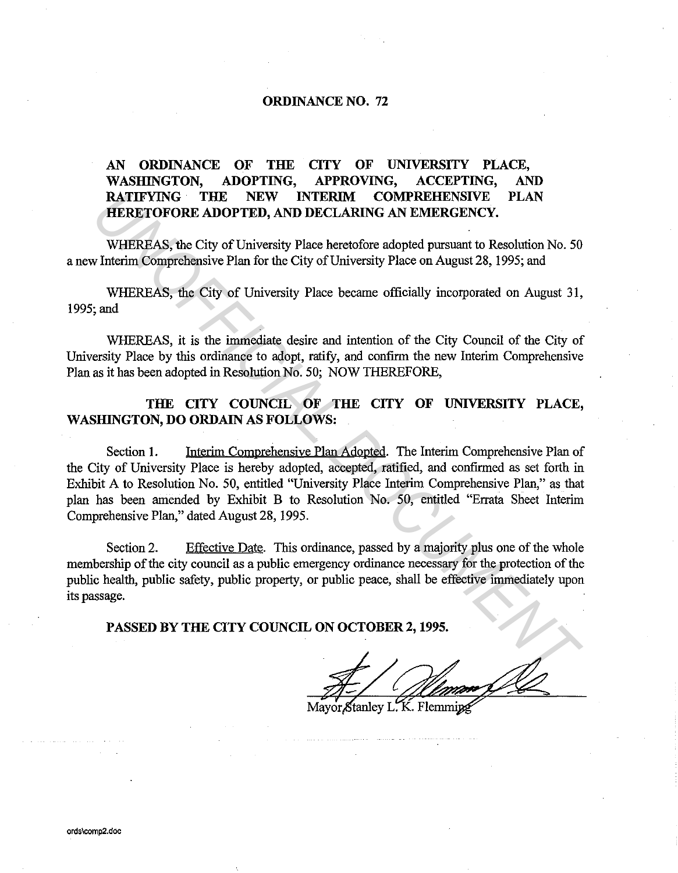## **ORDINANCE NO. 72**

## **AN ORDINANCE OF THE CITY OF UNIVERSITY PLACE, WASHINGTON, ADOPTING, APPROVING, ACCEPTING, AND RATIFYING THE NEW INTERIM COMPREHENSIVE PLAN HERETOFORE ADOPTED, AND DECLARING AN EMERGENCY.**

WHEREAS, the City of University Place heretofore adopted pursuant to Resolution No. 50 a new Interim Comprehensive Plan for the City of University Place on August 28, 1995; and

WHEREAS, the City of University Place became officially incorporated on August 31, 1995; and

WHEREAS, it is the immediate desire and intention of the City Council of the City of University Place by this ordinance to adopt, ratify, and confirm the new Interim Comprehensive Plan as it has been adopted in Resolution No. 50; NOW THEREFORE,

## **THE CITY COUNCIL OF THE CITY OF UNIVERSITY PLACE, WASHINGTON, DO ORDAIN AS FOLLOWS:**

Section **1.** Interim Comprehensive Plan Adopted. The Interim Comprehensive Plan of the City of University Place is hereby adopted, accepted, ratified, and confirmed as set forth in Exhibit A to Resolution No. 50, entitled "University Place Interim Comprehensive Plan," as that plan has been amended by Exhibit B to Resolution No. 50, entitled "Errata Sheet Interim Comprehensive Plan," dated August 28, 1995. **EXAMPLYING THE NEW INTERIM COMPREHENSIVE PLAN**<br> **HERETOFORE ADOTTED, AND DECLARING AN EMERGENCY.**<br>
WHEREAS, the City of University Place betrefore adopted pursuant to Resolution No. 50<br>
Interim Comprehensive Plan for the

Section 2. Effective Date. This ordinance, passed by a majority plus one of the whole membership of the city council as a public emergency ordinance necessary for the protection of the public health, public safety, public property, or public peace, shall be effective immediately upon its passage.

**PASSED BY THE CITY COUNCIL ON OCTOBER 2, 1995.** 

Mayor Stanley L.K. Flemmin